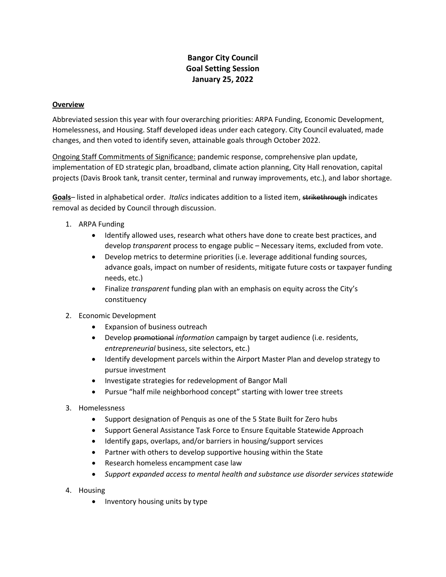# **Bangor City Council Goal Setting Session January 25, 2022**

#### **Overview**

Abbreviated session this year with four overarching priorities: ARPA Funding, Economic Development, Homelessness, and Housing. Staff developed ideas under each category. City Council evaluated, made changes, and then voted to identify seven, attainable goals through October 2022.

Ongoing Staff Commitments of Significance: pandemic response, comprehensive plan update, implementation of ED strategic plan, broadband, climate action planning, City Hall renovation, capital projects (Davis Brook tank, transit center, terminal and runway improvements, etc.), and labor shortage.

**Goals**– listed in alphabetical order. *Italics* indicates addition to a listed item, strikethrough indicates removal as decided by Council through discussion.

- 1. ARPA Funding
	- Identify allowed uses, research what others have done to create best practices, and develop *transparent* process to engage public – Necessary items, excluded from vote.
	- Develop metrics to determine priorities (i.e. leverage additional funding sources, advance goals, impact on number of residents, mitigate future costs or taxpayer funding needs, etc.)
	- Finalize *transparent* funding plan with an emphasis on equity across the City's constituency
- 2. Economic Development
	- Expansion of business outreach
	- Develop promotional *information* campaign by target audience (i.e. residents, *entrepreneurial* business, site selectors, etc.)
	- Identify development parcels within the Airport Master Plan and develop strategy to pursue investment
	- Investigate strategies for redevelopment of Bangor Mall
	- Pursue "half mile neighborhood concept" starting with lower tree streets
- 3. Homelessness
	- Support designation of Penquis as one of the 5 State Built for Zero hubs
	- Support General Assistance Task Force to Ensure Equitable Statewide Approach
	- Identify gaps, overlaps, and/or barriers in housing/support services
	- Partner with others to develop supportive housing within the State
	- Research homeless encampment case law
	- *Support expanded access to mental health and substance use disorder services statewide*
- 4. Housing
	- Inventory housing units by type